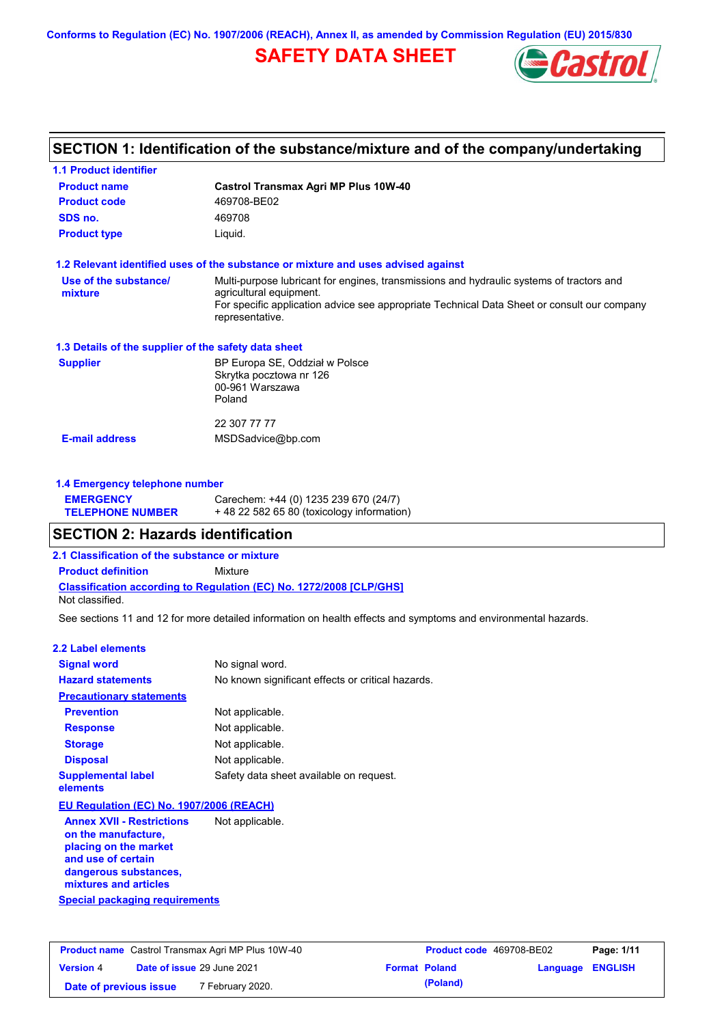**Conforms to Regulation (EC) No. 1907/2006 (REACH), Annex II, as amended by Commission Regulation (EU) 2015/830**

# **SAFETY DATA SHEET**



# **SECTION 1: Identification of the substance/mixture and of the company/undertaking**

| <b>1.1 Product identifier</b>                                                 |                                                                                                                                                                                                                                       |
|-------------------------------------------------------------------------------|---------------------------------------------------------------------------------------------------------------------------------------------------------------------------------------------------------------------------------------|
| <b>Product name</b>                                                           | <b>Castrol Transmax Agri MP Plus 10W-40</b>                                                                                                                                                                                           |
| <b>Product code</b>                                                           | 469708-BE02                                                                                                                                                                                                                           |
| SDS no.                                                                       | 469708                                                                                                                                                                                                                                |
| <b>Product type</b>                                                           | Liquid.                                                                                                                                                                                                                               |
|                                                                               | 1.2 Relevant identified uses of the substance or mixture and uses advised against                                                                                                                                                     |
| Use of the substance/<br>mixture                                              | Multi-purpose lubricant for engines, transmissions and hydraulic systems of tractors and<br>agricultural equipment.<br>For specific application advice see appropriate Technical Data Sheet or consult our company<br>representative. |
| 1.3 Details of the supplier of the safety data sheet                          |                                                                                                                                                                                                                                       |
| <b>Supplier</b>                                                               | BP Europa SE, Oddział w Polsce<br>Skrytka pocztowa nr 126<br>00-961 Warszawa<br>Poland                                                                                                                                                |
|                                                                               | 22 307 77 77                                                                                                                                                                                                                          |
| <b>E-mail address</b>                                                         | MSDSadvice@bp.com                                                                                                                                                                                                                     |
| 1.4 Emergency telephone number<br><b>EMERGENCY</b><br><b>TELEPHONE NUMBER</b> | Carechem: +44 (0) 1235 239 670 (24/7)<br>+48 22 582 65 80 (toxicology information)                                                                                                                                                    |
| <b>SECTION 2: Hazards identification</b>                                      |                                                                                                                                                                                                                                       |
| 2.1 Classification of the substance or mixture                                |                                                                                                                                                                                                                                       |
| <b>Product definition</b>                                                     | Mixture                                                                                                                                                                                                                               |
| Not classified.                                                               | <b>Classification according to Regulation (EC) No. 1272/2008 [CLP/GHS]</b>                                                                                                                                                            |
|                                                                               | See sections 11 and 12 for more detailed information on health effects and symptoms and environmental hazards.                                                                                                                        |
| <b>2.2 Label elements</b>                                                     |                                                                                                                                                                                                                                       |
| <b>Signal word</b>                                                            | No signal word.                                                                                                                                                                                                                       |
| <b>Hazard statements</b>                                                      | No known significant effects or critical hazards.                                                                                                                                                                                     |
| <b>Precautionary statements</b>                                               |                                                                                                                                                                                                                                       |
| <b>Prevention</b>                                                             | Not applicable.                                                                                                                                                                                                                       |
| <b>Response</b>                                                               | Not applicable.                                                                                                                                                                                                                       |
| <b>Storage</b>                                                                | Not applicable.                                                                                                                                                                                                                       |
| <b>Disposal</b>                                                               | Not applicable.                                                                                                                                                                                                                       |
| <b>Supplemental label</b><br>elements                                         | Safety data sheet available on request.                                                                                                                                                                                               |
| EU Regulation (EC) No. 1907/2006 (REACH)                                      |                                                                                                                                                                                                                                       |
|                                                                               |                                                                                                                                                                                                                                       |

**Special packaging requirements Annex XVII - Restrictions on the manufacture, placing on the market and use of certain dangerous substances, mixtures and articles** Not applicable.

| <b>Product name</b> Castrol Transmax Agri MP Plus 10W-40 |  | <b>Product code</b> 469708-BE02   |  | Page: 1/11           |                         |  |
|----------------------------------------------------------|--|-----------------------------------|--|----------------------|-------------------------|--|
| <b>Version 4</b>                                         |  | <b>Date of issue 29 June 2021</b> |  | <b>Format Poland</b> | <b>Language ENGLISH</b> |  |
| Date of previous issue                                   |  | 7 February 2020.                  |  | (Poland)             |                         |  |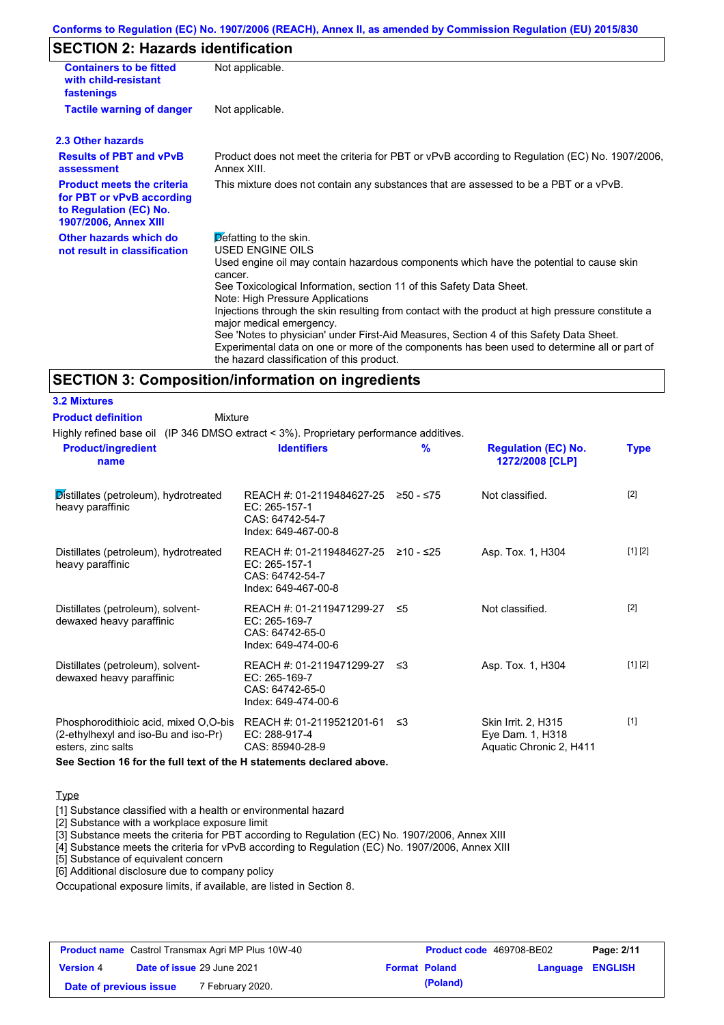# **SECTION 2: Hazards identification**

| <b>Containers to be fitted</b><br>with child-resistant<br>fastenings                                              | Not applicable.                                                                                                                                                                                                                                                                                                                                                                                                                                                                                                                                                                                                                               |
|-------------------------------------------------------------------------------------------------------------------|-----------------------------------------------------------------------------------------------------------------------------------------------------------------------------------------------------------------------------------------------------------------------------------------------------------------------------------------------------------------------------------------------------------------------------------------------------------------------------------------------------------------------------------------------------------------------------------------------------------------------------------------------|
| <b>Tactile warning of danger</b>                                                                                  | Not applicable.                                                                                                                                                                                                                                                                                                                                                                                                                                                                                                                                                                                                                               |
| 2.3 Other hazards                                                                                                 |                                                                                                                                                                                                                                                                                                                                                                                                                                                                                                                                                                                                                                               |
| <b>Results of PBT and vPvB</b><br>assessment                                                                      | Product does not meet the criteria for PBT or vPvB according to Regulation (EC) No. 1907/2006,<br>Annex XIII.                                                                                                                                                                                                                                                                                                                                                                                                                                                                                                                                 |
| <b>Product meets the criteria</b><br>for PBT or vPvB according<br>to Regulation (EC) No.<br>1907/2006, Annex XIII | This mixture does not contain any substances that are assessed to be a PBT or a vPvB.                                                                                                                                                                                                                                                                                                                                                                                                                                                                                                                                                         |
| Other hazards which do<br>not result in classification                                                            | Defatting to the skin.<br><b>USED ENGINE OILS</b><br>Used engine oil may contain hazardous components which have the potential to cause skin<br>cancer.<br>See Toxicological Information, section 11 of this Safety Data Sheet.<br>Note: High Pressure Applications<br>Injections through the skin resulting from contact with the product at high pressure constitute a<br>major medical emergency.<br>See 'Notes to physician' under First-Aid Measures, Section 4 of this Safety Data Sheet.<br>Experimental data on one or more of the components has been used to determine all or part of<br>the hazard classification of this product. |

### **SECTION 3: Composition/information on ingredients**

Highly refined base oil (IP 346 DMSO extract < 3%). Proprietary performance additives. **Mixture Product definition**

| <b>Product/ingredient</b><br>name                                                                   | <b>Identifiers</b>                                                                             | $\frac{9}{6}$ | <b>Regulation (EC) No.</b><br>1272/2008 [CLP]                      | <b>Type</b> |
|-----------------------------------------------------------------------------------------------------|------------------------------------------------------------------------------------------------|---------------|--------------------------------------------------------------------|-------------|
| Distillates (petroleum), hydrotreated<br>heavy paraffinic                                           | REACH #: 01-2119484627-25<br>EC: 265-157-1<br>CAS: 64742-54-7<br>Index: 649-467-00-8           | ≥50 - ≤75     | Not classified.                                                    | $[2]$       |
| Distillates (petroleum), hydrotreated<br>heavy paraffinic                                           | REACH #: 01-2119484627-25 ≥10 - ≤25<br>EC: 265-157-1<br>CAS: 64742-54-7<br>Index: 649-467-00-8 |               | Asp. Tox. 1, H304                                                  | [1] [2]     |
| Distillates (petroleum), solvent-<br>dewaxed heavy paraffinic                                       | REACH #: 01-2119471299-27<br>EC: 265-169-7<br>CAS: 64742-65-0<br>Index: 649-474-00-6           | -≤5           | Not classified.                                                    | $[2]$       |
| Distillates (petroleum), solvent-<br>dewaxed heavy paraffinic                                       | REACH #: 01-2119471299-27 ≤3<br>EC: 265-169-7<br>CAS: 64742-65-0<br>Index: 649-474-00-6        |               | Asp. Tox. 1, H304                                                  | [1] [2]     |
| Phosphorodithioic acid, mixed O,O-bis<br>(2-ethylhexyl and iso-Bu and iso-Pr)<br>esters, zinc salts | REACH #: 01-2119521201-61<br>EC: 288-917-4<br>CAS: 85940-28-9                                  | ≲3            | Skin Irrit. 2, H315<br>Eye Dam. 1, H318<br>Aquatic Chronic 2, H411 | $[1]$       |

**See Section 16 for the full text of the H statements declared above.**

### **Type**

**3.2 Mixtures**

[1] Substance classified with a health or environmental hazard

[2] Substance with a workplace exposure limit

[3] Substance meets the criteria for PBT according to Regulation (EC) No. 1907/2006, Annex XIII

[4] Substance meets the criteria for vPvB according to Regulation (EC) No. 1907/2006, Annex XIII

[5] Substance of equivalent concern

[6] Additional disclosure due to company policy

Occupational exposure limits, if available, are listed in Section 8.

| <b>Product name</b> Castrol Transmax Agri MP Plus 10W-40 |  |                                   | <b>Product code</b> 469708-BE02 |          | Page: 2/11       |  |
|----------------------------------------------------------|--|-----------------------------------|---------------------------------|----------|------------------|--|
| <b>Version 4</b>                                         |  | <b>Date of issue 29 June 2021</b> | <b>Format Poland</b>            |          | Language ENGLISH |  |
| Date of previous issue                                   |  | 7 February 2020.                  |                                 | (Poland) |                  |  |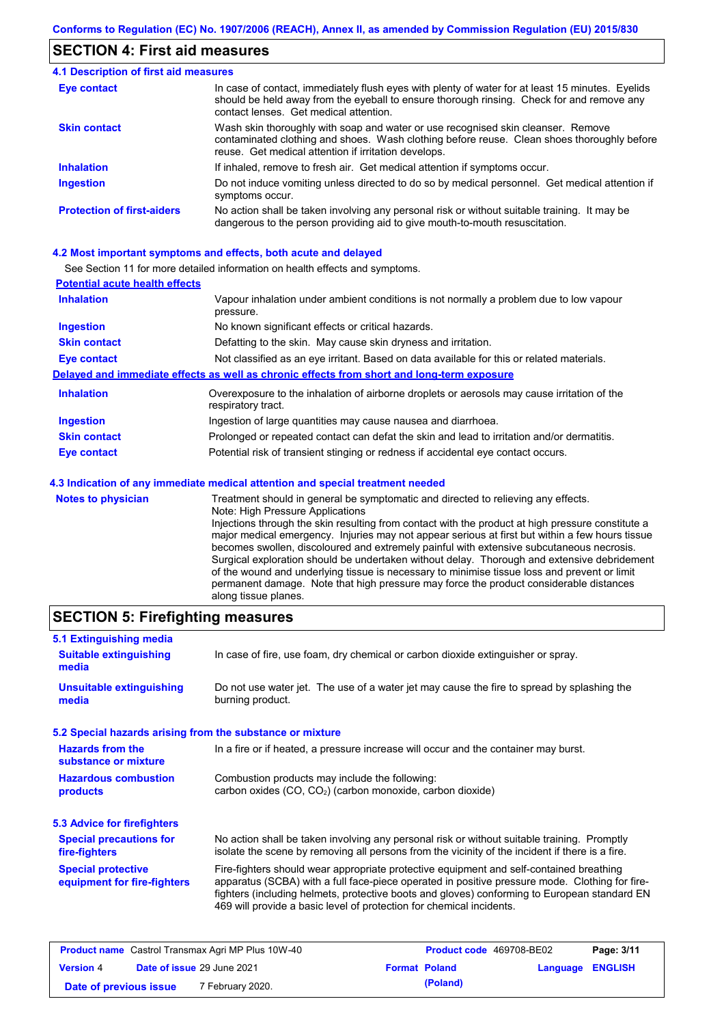### **SECTION 4: First aid measures**

#### Do not induce vomiting unless directed to do so by medical personnel. Get medical attention if symptoms occur. In case of contact, immediately flush eyes with plenty of water for at least 15 minutes. Eyelids should be held away from the eyeball to ensure thorough rinsing. Check for and remove any contact lenses. Get medical attention. **4.1 Description of first aid measures** If inhaled, remove to fresh air. Get medical attention if symptoms occur. **Ingestion Inhalation Eye contact Protection of first-aiders** No action shall be taken involving any personal risk or without suitable training. It may be dangerous to the person providing aid to give mouth-to-mouth resuscitation. **Skin contact** Wash skin thoroughly with soap and water or use recognised skin cleanser. Remove contaminated clothing and shoes. Wash clothing before reuse. Clean shoes thoroughly before reuse. Get medical attention if irritation develops.

### **4.2 Most important symptoms and effects, both acute and delayed**

See Section 11 for more detailed information on health effects and symptoms.

| <b>Potential acute health effects</b> |                                                                                                                   |
|---------------------------------------|-------------------------------------------------------------------------------------------------------------------|
| <b>Inhalation</b>                     | Vapour inhalation under ambient conditions is not normally a problem due to low vapour<br>pressure.               |
| <b>Ingestion</b>                      | No known significant effects or critical hazards.                                                                 |
| <b>Skin contact</b>                   | Defatting to the skin. May cause skin dryness and irritation.                                                     |
| <b>Eye contact</b>                    | Not classified as an eye irritant. Based on data available for this or related materials.                         |
|                                       | Delayed and immediate effects as well as chronic effects from short and long-term exposure                        |
| <b>Inhalation</b>                     | Overexposure to the inhalation of airborne droplets or aerosols may cause irritation of the<br>respiratory tract. |
| <b>Ingestion</b>                      | Ingestion of large quantities may cause nausea and diarrhoea.                                                     |
| <b>Skin contact</b>                   | Prolonged or repeated contact can defat the skin and lead to irritation and/or dermatitis.                        |
| Eye contact                           | Potential risk of transient stinging or redness if accidental eye contact occurs.                                 |
|                                       | 4.3 Indication of any immediate medical attention and special treatment needed                                    |
| Notes to physician                    | Treatment should in general he symptomatic and directed to relieving any effects                                  |

| <b>Notes to physician</b> | Treatment should in general be symptomatic and directed to relieving any effects.                 |
|---------------------------|---------------------------------------------------------------------------------------------------|
|                           | Note: High Pressure Applications                                                                  |
|                           | Injections through the skin resulting from contact with the product at high pressure constitute a |
|                           | major medical emergency. Injuries may not appear serious at first but within a few hours tissue   |
|                           | becomes swollen, discoloured and extremely painful with extensive subcutaneous necrosis.          |
|                           | Surgical exploration should be undertaken without delay. Thorough and extensive debridement       |
|                           | of the wound and underlying tissue is necessary to minimise tissue loss and prevent or limit      |
|                           | permanent damage. Note that high pressure may force the product considerable distances            |
|                           | along tissue planes.                                                                              |

### **SECTION 5: Firefighting measures**

| 5.1 Extinguishing media                                   |                                                                                                                                                                                                                                                                                                                                                                   |
|-----------------------------------------------------------|-------------------------------------------------------------------------------------------------------------------------------------------------------------------------------------------------------------------------------------------------------------------------------------------------------------------------------------------------------------------|
| <b>Suitable extinguishing</b><br>media                    | In case of fire, use foam, dry chemical or carbon dioxide extinguisher or spray.                                                                                                                                                                                                                                                                                  |
| <b>Unsuitable extinguishing</b><br>media                  | Do not use water jet. The use of a water jet may cause the fire to spread by splashing the<br>burning product.                                                                                                                                                                                                                                                    |
| 5.2 Special hazards arising from the substance or mixture |                                                                                                                                                                                                                                                                                                                                                                   |
| <b>Hazards from the</b><br>substance or mixture           | In a fire or if heated, a pressure increase will occur and the container may burst.                                                                                                                                                                                                                                                                               |
| <b>Hazardous combustion</b><br>products                   | Combustion products may include the following:<br>carbon oxides (CO, CO <sub>2</sub> ) (carbon monoxide, carbon dioxide)                                                                                                                                                                                                                                          |
| 5.3 Advice for firefighters                               |                                                                                                                                                                                                                                                                                                                                                                   |
| <b>Special precautions for</b><br>fire-fighters           | No action shall be taken involving any personal risk or without suitable training. Promptly<br>isolate the scene by removing all persons from the vicinity of the incident if there is a fire.                                                                                                                                                                    |
| <b>Special protective</b><br>equipment for fire-fighters  | Fire-fighters should wear appropriate protective equipment and self-contained breathing<br>apparatus (SCBA) with a full face-piece operated in positive pressure mode. Clothing for fire-<br>fighters (including helmets, protective boots and gloves) conforming to European standard EN<br>469 will provide a basic level of protection for chemical incidents. |

| <b>Product name</b> Castrol Transmax Agri MP Plus 10W-40 |  | <b>Product code</b> 469708-BE02   |  | Page: 3/11           |                  |  |
|----------------------------------------------------------|--|-----------------------------------|--|----------------------|------------------|--|
| <b>Version 4</b>                                         |  | <b>Date of issue 29 June 2021</b> |  | <b>Format Poland</b> | Language ENGLISH |  |
| Date of previous issue                                   |  | <sup>7</sup> February 2020.       |  | (Poland)             |                  |  |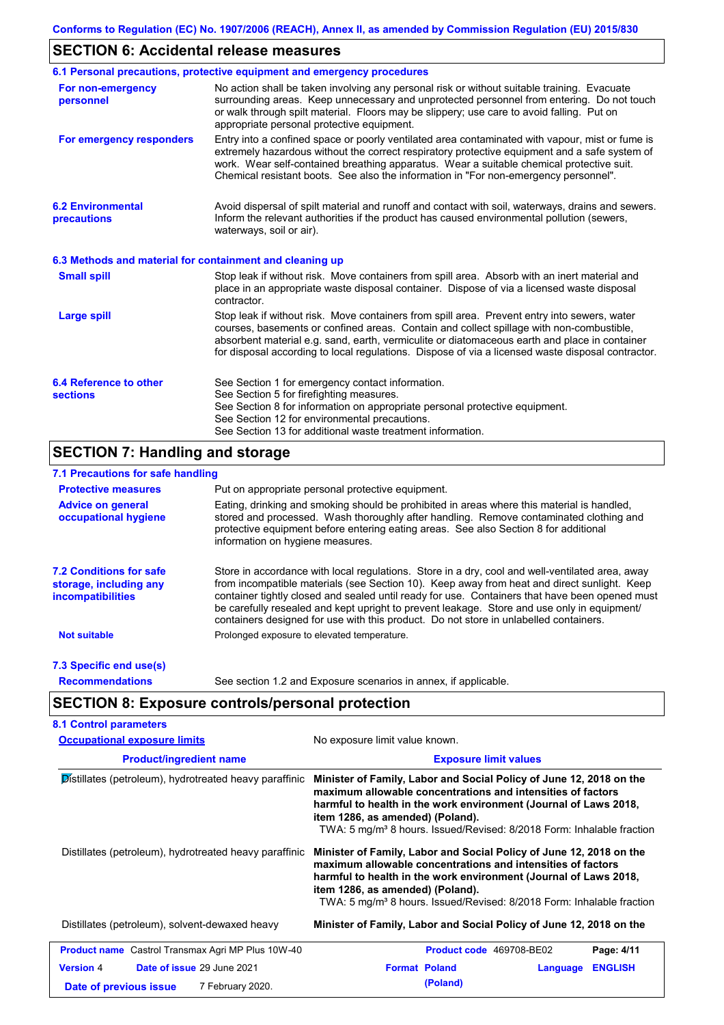# **SECTION 6: Accidental release measures**

|                                                          | 6.1 Personal precautions, protective equipment and emergency procedures                                                                                                                                                                                                                                                                                                                        |
|----------------------------------------------------------|------------------------------------------------------------------------------------------------------------------------------------------------------------------------------------------------------------------------------------------------------------------------------------------------------------------------------------------------------------------------------------------------|
| For non-emergency<br>personnel                           | No action shall be taken involving any personal risk or without suitable training. Evacuate<br>surrounding areas. Keep unnecessary and unprotected personnel from entering. Do not touch<br>or walk through spilt material. Floors may be slippery; use care to avoid falling. Put on<br>appropriate personal protective equipment.                                                            |
| For emergency responders                                 | Entry into a confined space or poorly ventilated area contaminated with vapour, mist or fume is<br>extremely hazardous without the correct respiratory protective equipment and a safe system of<br>work. Wear self-contained breathing apparatus. Wear a suitable chemical protective suit.<br>Chemical resistant boots. See also the information in "For non-emergency personnel".           |
| <b>6.2 Environmental</b><br>precautions                  | Avoid dispersal of spilt material and runoff and contact with soil, waterways, drains and sewers.<br>Inform the relevant authorities if the product has caused environmental pollution (sewers,<br>waterways, soil or air).                                                                                                                                                                    |
| 6.3 Methods and material for containment and cleaning up |                                                                                                                                                                                                                                                                                                                                                                                                |
| <b>Small spill</b>                                       | Stop leak if without risk. Move containers from spill area. Absorb with an inert material and<br>place in an appropriate waste disposal container. Dispose of via a licensed waste disposal<br>contractor.                                                                                                                                                                                     |
| <b>Large spill</b>                                       | Stop leak if without risk. Move containers from spill area. Prevent entry into sewers, water<br>courses, basements or confined areas. Contain and collect spillage with non-combustible,<br>absorbent material e.g. sand, earth, vermiculite or diatomaceous earth and place in container<br>for disposal according to local regulations. Dispose of via a licensed waste disposal contractor. |
| 6.4 Reference to other<br><b>sections</b>                | See Section 1 for emergency contact information.<br>See Section 5 for firefighting measures.<br>See Section 8 for information on appropriate personal protective equipment.<br>See Section 12 for environmental precautions.<br>See Section 13 for additional waste treatment information.                                                                                                     |

# **SECTION 7: Handling and storage**

### **7.1 Precautions for safe handling**

| <b>Protective measures</b>                                                           | Put on appropriate personal protective equipment.                                                                                                                                                                                                                                                                                                                                                                                                                                        |
|--------------------------------------------------------------------------------------|------------------------------------------------------------------------------------------------------------------------------------------------------------------------------------------------------------------------------------------------------------------------------------------------------------------------------------------------------------------------------------------------------------------------------------------------------------------------------------------|
| <b>Advice on general</b><br>occupational hygiene                                     | Eating, drinking and smoking should be prohibited in areas where this material is handled,<br>stored and processed. Wash thoroughly after handling. Remove contaminated clothing and<br>protective equipment before entering eating areas. See also Section 8 for additional<br>information on hygiene measures.                                                                                                                                                                         |
| <b>7.2 Conditions for safe</b><br>storage, including any<br><i>incompatibilities</i> | Store in accordance with local requlations. Store in a dry, cool and well-ventilated area, away<br>from incompatible materials (see Section 10). Keep away from heat and direct sunlight. Keep<br>container tightly closed and sealed until ready for use. Containers that have been opened must<br>be carefully resealed and kept upright to prevent leakage. Store and use only in equipment/<br>containers designed for use with this product. Do not store in unlabelled containers. |
| <b>Not suitable</b>                                                                  | Prolonged exposure to elevated temperature.                                                                                                                                                                                                                                                                                                                                                                                                                                              |
| 7.3 Specific end use(s)                                                              |                                                                                                                                                                                                                                                                                                                                                                                                                                                                                          |
| <b>Recommendations</b>                                                               | See section 1.2 and Exposure scenarios in annex, if applicable.                                                                                                                                                                                                                                                                                                                                                                                                                          |

# **SECTION 8: Exposure controls/personal protection**

| <b>Occupational exposure limits</b>                                                          | No exposure limit value known.                                                                                                                                                                                                                                                                                                  |  |  |  |
|----------------------------------------------------------------------------------------------|---------------------------------------------------------------------------------------------------------------------------------------------------------------------------------------------------------------------------------------------------------------------------------------------------------------------------------|--|--|--|
| <b>Product/ingredient name</b>                                                               | <b>Exposure limit values</b>                                                                                                                                                                                                                                                                                                    |  |  |  |
| Distillates (petroleum), hydrotreated heavy paraffinic                                       | Minister of Family, Labor and Social Policy of June 12, 2018 on the<br>maximum allowable concentrations and intensities of factors<br>harmful to health in the work environment (Journal of Laws 2018,<br>item 1286, as amended) (Poland).<br>TWA: 5 mg/m <sup>3</sup> 8 hours. Issued/Revised: 8/2018 Form: Inhalable fraction |  |  |  |
| Distillates (petroleum), hydrotreated heavy paraffinic                                       | Minister of Family, Labor and Social Policy of June 12, 2018 on the<br>maximum allowable concentrations and intensities of factors<br>harmful to health in the work environment (Journal of Laws 2018,<br>item 1286, as amended) (Poland).<br>TWA: 5 mg/m <sup>3</sup> 8 hours. Issued/Revised: 8/2018 Form: Inhalable fraction |  |  |  |
| Distillates (petroleum), solvent-dewaxed heavy                                               | Minister of Family, Labor and Social Policy of June 12, 2018 on the                                                                                                                                                                                                                                                             |  |  |  |
| <b>Product name</b> Castrol Transmax Agri MP Plus 10W-40                                     | Product code 469708-BE02<br>Page: 4/11                                                                                                                                                                                                                                                                                          |  |  |  |
| Date of issue 29 June 2021<br><b>Version 4</b><br>7 February 2020.<br>Date of previous issue | <b>Format Poland</b><br><b>ENGLISH</b><br>Language<br>(Poland)                                                                                                                                                                                                                                                                  |  |  |  |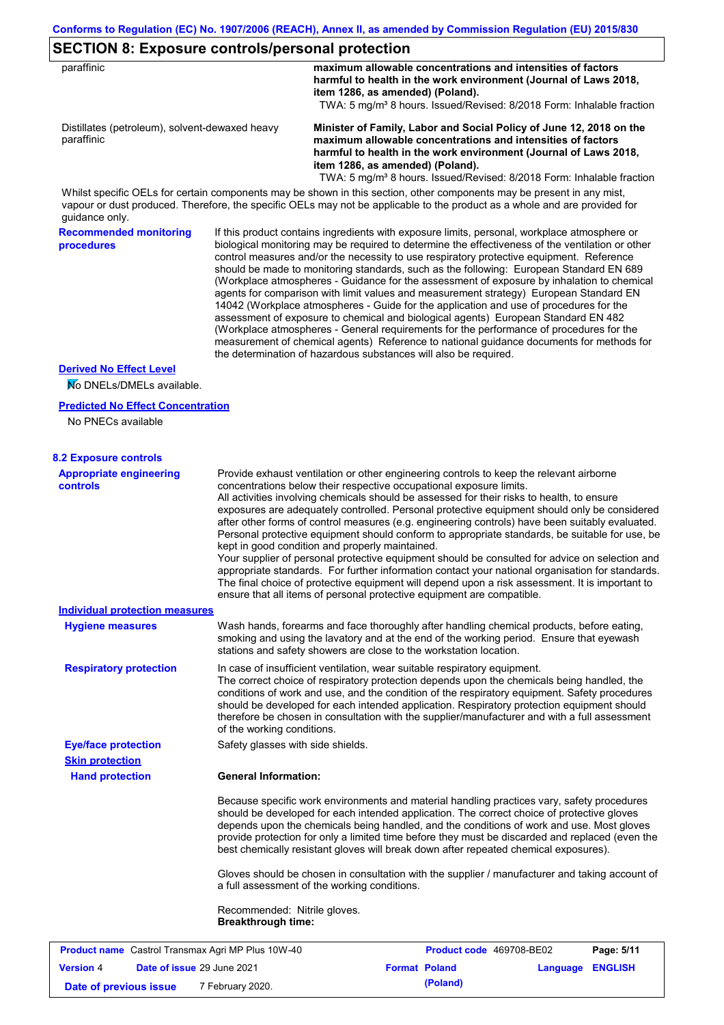### **SECTION 8: Exposure controls/personal protection**

| paraffinic                                                                                                                                                                                                                                                             |                                                           | maximum allowable concentrations and intensities of factors<br>harmful to health in the work environment (Journal of Laws 2018,<br>item 1286, as amended) (Poland).<br>TWA: 5 mg/m <sup>3</sup> 8 hours. Issued/Revised: 8/2018 Form: Inhalable fraction                                                                                                                                                                                                                                                                                                                                                                                                                                                                                                                                                                                                                                                                                                                                                                   |                          |                  |            |
|------------------------------------------------------------------------------------------------------------------------------------------------------------------------------------------------------------------------------------------------------------------------|-----------------------------------------------------------|----------------------------------------------------------------------------------------------------------------------------------------------------------------------------------------------------------------------------------------------------------------------------------------------------------------------------------------------------------------------------------------------------------------------------------------------------------------------------------------------------------------------------------------------------------------------------------------------------------------------------------------------------------------------------------------------------------------------------------------------------------------------------------------------------------------------------------------------------------------------------------------------------------------------------------------------------------------------------------------------------------------------------|--------------------------|------------------|------------|
| Distillates (petroleum), solvent-dewaxed heavy<br>paraffinic                                                                                                                                                                                                           |                                                           | Minister of Family, Labor and Social Policy of June 12, 2018 on the<br>maximum allowable concentrations and intensities of factors<br>harmful to health in the work environment (Journal of Laws 2018,<br>item 1286, as amended) (Poland).<br>TWA: 5 mg/m <sup>3</sup> 8 hours. Issued/Revised: 8/2018 Form: Inhalable fraction                                                                                                                                                                                                                                                                                                                                                                                                                                                                                                                                                                                                                                                                                            |                          |                  |            |
| Whilst specific OELs for certain components may be shown in this section, other components may be present in any mist,<br>vapour or dust produced. Therefore, the specific OELs may not be applicable to the product as a whole and are provided for<br>guidance only. |                                                           |                                                                                                                                                                                                                                                                                                                                                                                                                                                                                                                                                                                                                                                                                                                                                                                                                                                                                                                                                                                                                            |                          |                  |            |
| <b>Recommended monitoring</b><br>procedures                                                                                                                                                                                                                            |                                                           | If this product contains ingredients with exposure limits, personal, workplace atmosphere or<br>biological monitoring may be required to determine the effectiveness of the ventilation or other<br>control measures and/or the necessity to use respiratory protective equipment. Reference<br>should be made to monitoring standards, such as the following: European Standard EN 689<br>(Workplace atmospheres - Guidance for the assessment of exposure by inhalation to chemical<br>agents for comparison with limit values and measurement strategy) European Standard EN<br>14042 (Workplace atmospheres - Guide for the application and use of procedures for the<br>assessment of exposure to chemical and biological agents) European Standard EN 482<br>(Workplace atmospheres - General requirements for the performance of procedures for the<br>measurement of chemical agents) Reference to national guidance documents for methods for<br>the determination of hazardous substances will also be required. |                          |                  |            |
| <b>Derived No Effect Level</b><br>No DNELs/DMELs available.                                                                                                                                                                                                            |                                                           |                                                                                                                                                                                                                                                                                                                                                                                                                                                                                                                                                                                                                                                                                                                                                                                                                                                                                                                                                                                                                            |                          |                  |            |
| <b>Predicted No Effect Concentration</b>                                                                                                                                                                                                                               |                                                           |                                                                                                                                                                                                                                                                                                                                                                                                                                                                                                                                                                                                                                                                                                                                                                                                                                                                                                                                                                                                                            |                          |                  |            |
| No PNECs available                                                                                                                                                                                                                                                     |                                                           |                                                                                                                                                                                                                                                                                                                                                                                                                                                                                                                                                                                                                                                                                                                                                                                                                                                                                                                                                                                                                            |                          |                  |            |
| <b>8.2 Exposure controls</b>                                                                                                                                                                                                                                           |                                                           |                                                                                                                                                                                                                                                                                                                                                                                                                                                                                                                                                                                                                                                                                                                                                                                                                                                                                                                                                                                                                            |                          |                  |            |
| <b>Appropriate engineering</b><br><b>controls</b>                                                                                                                                                                                                                      |                                                           | Provide exhaust ventilation or other engineering controls to keep the relevant airborne<br>concentrations below their respective occupational exposure limits.<br>All activities involving chemicals should be assessed for their risks to health, to ensure<br>exposures are adequately controlled. Personal protective equipment should only be considered<br>after other forms of control measures (e.g. engineering controls) have been suitably evaluated.<br>Personal protective equipment should conform to appropriate standards, be suitable for use, be<br>kept in good condition and properly maintained.<br>Your supplier of personal protective equipment should be consulted for advice on selection and<br>appropriate standards. For further information contact your national organisation for standards.<br>The final choice of protective equipment will depend upon a risk assessment. It is important to<br>ensure that all items of personal protective equipment are compatible.                    |                          |                  |            |
| <b>Individual protection measures</b>                                                                                                                                                                                                                                  |                                                           |                                                                                                                                                                                                                                                                                                                                                                                                                                                                                                                                                                                                                                                                                                                                                                                                                                                                                                                                                                                                                            |                          |                  |            |
| <b>Hygiene measures</b>                                                                                                                                                                                                                                                |                                                           | Wash hands, forearms and face thoroughly after handling chemical products, before eating,<br>smoking and using the lavatory and at the end of the working period. Ensure that eyewash<br>stations and safety showers are close to the workstation location.                                                                                                                                                                                                                                                                                                                                                                                                                                                                                                                                                                                                                                                                                                                                                                |                          |                  |            |
| <b>Respiratory protection</b>                                                                                                                                                                                                                                          | of the working conditions.                                | In case of insufficient ventilation, wear suitable respiratory equipment.<br>The correct choice of respiratory protection depends upon the chemicals being handled, the<br>conditions of work and use, and the condition of the respiratory equipment. Safety procedures<br>should be developed for each intended application. Respiratory protection equipment should<br>therefore be chosen in consultation with the supplier/manufacturer and with a full assessment                                                                                                                                                                                                                                                                                                                                                                                                                                                                                                                                                    |                          |                  |            |
| <b>Eye/face protection</b><br><b>Skin protection</b>                                                                                                                                                                                                                   | Safety glasses with side shields.                         |                                                                                                                                                                                                                                                                                                                                                                                                                                                                                                                                                                                                                                                                                                                                                                                                                                                                                                                                                                                                                            |                          |                  |            |
| <b>Hand protection</b>                                                                                                                                                                                                                                                 | <b>General Information:</b>                               |                                                                                                                                                                                                                                                                                                                                                                                                                                                                                                                                                                                                                                                                                                                                                                                                                                                                                                                                                                                                                            |                          |                  |            |
|                                                                                                                                                                                                                                                                        |                                                           | Because specific work environments and material handling practices vary, safety procedures<br>should be developed for each intended application. The correct choice of protective gloves<br>depends upon the chemicals being handled, and the conditions of work and use. Most gloves<br>provide protection for only a limited time before they must be discarded and replaced (even the<br>best chemically resistant gloves will break down after repeated chemical exposures).                                                                                                                                                                                                                                                                                                                                                                                                                                                                                                                                           |                          |                  |            |
|                                                                                                                                                                                                                                                                        |                                                           | Gloves should be chosen in consultation with the supplier / manufacturer and taking account of<br>a full assessment of the working conditions.                                                                                                                                                                                                                                                                                                                                                                                                                                                                                                                                                                                                                                                                                                                                                                                                                                                                             |                          |                  |            |
|                                                                                                                                                                                                                                                                        | Recommended: Nitrile gloves.<br><b>Breakthrough time:</b> |                                                                                                                                                                                                                                                                                                                                                                                                                                                                                                                                                                                                                                                                                                                                                                                                                                                                                                                                                                                                                            |                          |                  |            |
| <b>Product name</b> Castrol Transmax Agri MP Plus 10W-40                                                                                                                                                                                                               |                                                           |                                                                                                                                                                                                                                                                                                                                                                                                                                                                                                                                                                                                                                                                                                                                                                                                                                                                                                                                                                                                                            | Product code 469708-BE02 |                  | Page: 5/11 |
| Date of issue 29 June 2021<br><b>Version 4</b>                                                                                                                                                                                                                         |                                                           | <b>Format Poland</b>                                                                                                                                                                                                                                                                                                                                                                                                                                                                                                                                                                                                                                                                                                                                                                                                                                                                                                                                                                                                       |                          | Language ENGLISH |            |

**Date of previous issue** 7 February 2020.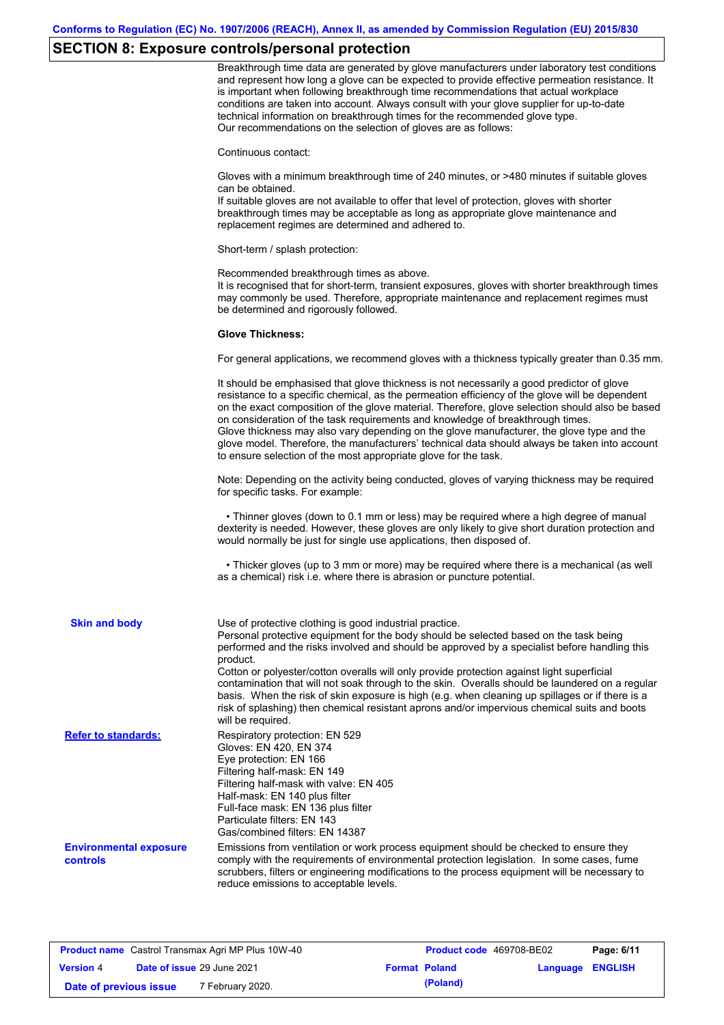# **SECTION 8: Exposure controls/personal protection**

|                                                  | Breakthrough time data are generated by glove manufacturers under laboratory test conditions<br>and represent how long a glove can be expected to provide effective permeation resistance. It<br>is important when following breakthrough time recommendations that actual workplace<br>conditions are taken into account. Always consult with your glove supplier for up-to-date<br>technical information on breakthrough times for the recommended glove type.<br>Our recommendations on the selection of gloves are as follows:                                                                                                                |
|--------------------------------------------------|---------------------------------------------------------------------------------------------------------------------------------------------------------------------------------------------------------------------------------------------------------------------------------------------------------------------------------------------------------------------------------------------------------------------------------------------------------------------------------------------------------------------------------------------------------------------------------------------------------------------------------------------------|
|                                                  | Continuous contact:                                                                                                                                                                                                                                                                                                                                                                                                                                                                                                                                                                                                                               |
|                                                  | Gloves with a minimum breakthrough time of 240 minutes, or >480 minutes if suitable gloves<br>can be obtained.<br>If suitable gloves are not available to offer that level of protection, gloves with shorter<br>breakthrough times may be acceptable as long as appropriate glove maintenance and<br>replacement regimes are determined and adhered to.                                                                                                                                                                                                                                                                                          |
|                                                  | Short-term / splash protection:                                                                                                                                                                                                                                                                                                                                                                                                                                                                                                                                                                                                                   |
|                                                  | Recommended breakthrough times as above.<br>It is recognised that for short-term, transient exposures, gloves with shorter breakthrough times<br>may commonly be used. Therefore, appropriate maintenance and replacement regimes must<br>be determined and rigorously followed.                                                                                                                                                                                                                                                                                                                                                                  |
|                                                  | <b>Glove Thickness:</b>                                                                                                                                                                                                                                                                                                                                                                                                                                                                                                                                                                                                                           |
|                                                  | For general applications, we recommend gloves with a thickness typically greater than 0.35 mm.                                                                                                                                                                                                                                                                                                                                                                                                                                                                                                                                                    |
|                                                  | It should be emphasised that glove thickness is not necessarily a good predictor of glove<br>resistance to a specific chemical, as the permeation efficiency of the glove will be dependent<br>on the exact composition of the glove material. Therefore, glove selection should also be based<br>on consideration of the task requirements and knowledge of breakthrough times.<br>Glove thickness may also vary depending on the glove manufacturer, the glove type and the<br>glove model. Therefore, the manufacturers' technical data should always be taken into account<br>to ensure selection of the most appropriate glove for the task. |
|                                                  | Note: Depending on the activity being conducted, gloves of varying thickness may be required<br>for specific tasks. For example:                                                                                                                                                                                                                                                                                                                                                                                                                                                                                                                  |
|                                                  | • Thinner gloves (down to 0.1 mm or less) may be required where a high degree of manual<br>dexterity is needed. However, these gloves are only likely to give short duration protection and<br>would normally be just for single use applications, then disposed of.                                                                                                                                                                                                                                                                                                                                                                              |
|                                                  | • Thicker gloves (up to 3 mm or more) may be required where there is a mechanical (as well<br>as a chemical) risk i.e. where there is abrasion or puncture potential.                                                                                                                                                                                                                                                                                                                                                                                                                                                                             |
| <b>Skin and body</b>                             | Use of protective clothing is good industrial practice.<br>Personal protective equipment for the body should be selected based on the task being<br>performed and the risks involved and should be approved by a specialist before handling this<br>product.                                                                                                                                                                                                                                                                                                                                                                                      |
|                                                  | Cotton or polyester/cotton overalls will only provide protection against light superficial<br>contamination that will not soak through to the skin. Overalls should be laundered on a regular<br>basis. When the risk of skin exposure is high (e.g. when cleaning up spillages or if there is a<br>risk of splashing) then chemical resistant aprons and/or impervious chemical suits and boots<br>will be required.                                                                                                                                                                                                                             |
| <b>Refer to standards:</b>                       | Respiratory protection: EN 529<br>Gloves: EN 420, EN 374<br>Eye protection: EN 166<br>Filtering half-mask: EN 149<br>Filtering half-mask with valve: EN 405<br>Half-mask: EN 140 plus filter<br>Full-face mask: EN 136 plus filter<br>Particulate filters: EN 143<br>Gas/combined filters: EN 14387                                                                                                                                                                                                                                                                                                                                               |
| <b>Environmental exposure</b><br><b>controls</b> | Emissions from ventilation or work process equipment should be checked to ensure they<br>comply with the requirements of environmental protection legislation. In some cases, fume<br>scrubbers, filters or engineering modifications to the process equipment will be necessary to<br>reduce emissions to acceptable levels.                                                                                                                                                                                                                                                                                                                     |

| <b>Product name</b> Castrol Transmax Agri MP Plus 10W-40 |  |                                   | <b>Product code</b> 469708-BE02 |                      | Page: 6/11              |  |
|----------------------------------------------------------|--|-----------------------------------|---------------------------------|----------------------|-------------------------|--|
| <b>Version 4</b>                                         |  | <b>Date of issue 29 June 2021</b> |                                 | <b>Format Poland</b> | <b>Language ENGLISH</b> |  |
| Date of previous issue                                   |  | 7 February 2020.                  |                                 | (Poland)             |                         |  |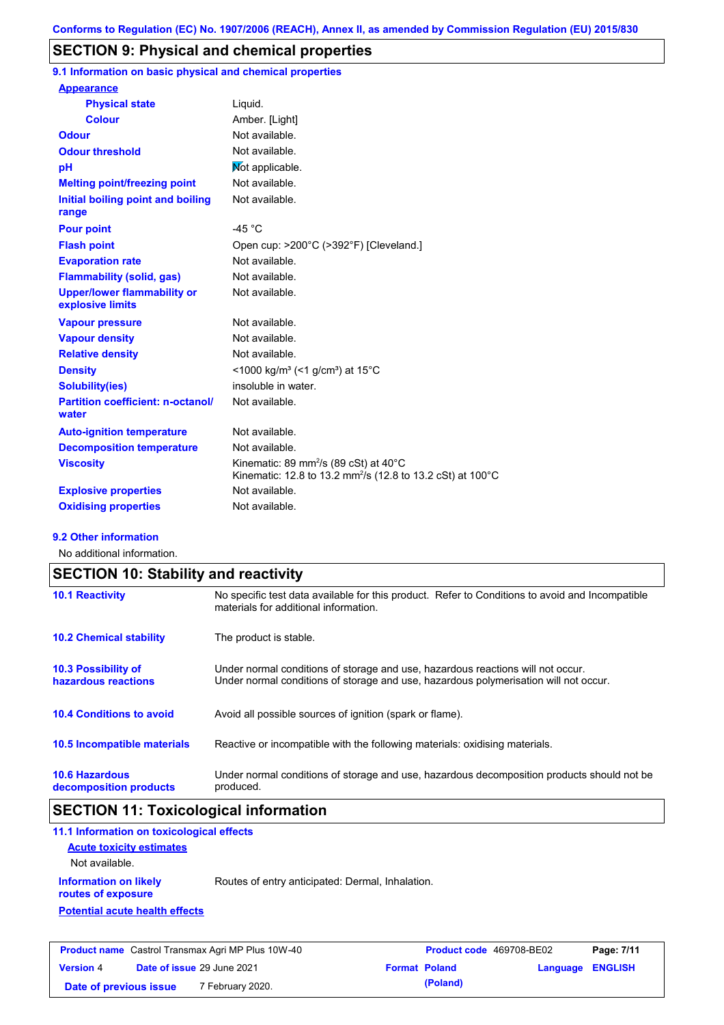## **SECTION 9: Physical and chemical properties**

**9.1 Information on basic physical and chemical properties**

| <b>Appearance</b>                                      |                                                                                                                                        |
|--------------------------------------------------------|----------------------------------------------------------------------------------------------------------------------------------------|
| <b>Physical state</b>                                  | Liquid.                                                                                                                                |
| Colour                                                 | Amber. [Light]                                                                                                                         |
| <b>Odour</b>                                           | Not available.                                                                                                                         |
| <b>Odour threshold</b>                                 | Not available.                                                                                                                         |
| рH                                                     | Mot applicable.                                                                                                                        |
| <b>Melting point/freezing point</b>                    | Not available.                                                                                                                         |
| Initial boiling point and boiling<br>range             | Not available.                                                                                                                         |
| <b>Pour point</b>                                      | -45 $^{\circ}$ C                                                                                                                       |
| <b>Flash point</b>                                     | Open cup: >200°C (>392°F) [Cleveland.]                                                                                                 |
| <b>Evaporation rate</b>                                | Not available.                                                                                                                         |
| <b>Flammability (solid, gas)</b>                       | Not available.                                                                                                                         |
| <b>Upper/lower flammability or</b><br>explosive limits | Not available.                                                                                                                         |
| <b>Vapour pressure</b>                                 | Not available.                                                                                                                         |
| <b>Vapour density</b>                                  | Not available.                                                                                                                         |
| <b>Relative density</b>                                | Not available.                                                                                                                         |
| <b>Density</b>                                         | $\leq$ 1000 kg/m <sup>3</sup> (<1 g/cm <sup>3</sup> ) at 15 <sup>°</sup> C                                                             |
| <b>Solubility(ies)</b>                                 | insoluble in water.                                                                                                                    |
| <b>Partition coefficient: n-octanol/</b><br>water      | Not available.                                                                                                                         |
| <b>Auto-ignition temperature</b>                       | Not available.                                                                                                                         |
| <b>Decomposition temperature</b>                       | Not available.                                                                                                                         |
| <b>Viscosity</b>                                       | Kinematic: 89 mm <sup>2</sup> /s (89 cSt) at $40^{\circ}$ C<br>Kinematic: 12.8 to 13.2 mm <sup>2</sup> /s (12.8 to 13.2 cSt) at 100 °C |
| <b>Explosive properties</b>                            | Not available.                                                                                                                         |
| <b>Oxidising properties</b>                            | Not available.                                                                                                                         |

### **9.2 Other information**

No additional information.

| <b>SECTION 10: Stability and reactivity</b>       |                                                                                                                                                                         |  |  |
|---------------------------------------------------|-------------------------------------------------------------------------------------------------------------------------------------------------------------------------|--|--|
| <b>10.1 Reactivity</b>                            | No specific test data available for this product. Refer to Conditions to avoid and Incompatible<br>materials for additional information.                                |  |  |
| <b>10.2 Chemical stability</b>                    | The product is stable.                                                                                                                                                  |  |  |
| <b>10.3 Possibility of</b><br>hazardous reactions | Under normal conditions of storage and use, hazardous reactions will not occur.<br>Under normal conditions of storage and use, hazardous polymerisation will not occur. |  |  |
| <b>10.4 Conditions to avoid</b>                   | Avoid all possible sources of ignition (spark or flame).                                                                                                                |  |  |
| 10.5 Incompatible materials                       | Reactive or incompatible with the following materials: oxidising materials.                                                                                             |  |  |
| <b>10.6 Hazardous</b><br>decomposition products   | Under normal conditions of storage and use, hazardous decomposition products should not be<br>produced.                                                                 |  |  |

# **SECTION 11: Toxicological information**

| 11.1 Information on toxicological effects          |                                                  |
|----------------------------------------------------|--------------------------------------------------|
| <b>Acute toxicity estimates</b>                    |                                                  |
| Not available.                                     |                                                  |
| <b>Information on likely</b><br>routes of exposure | Routes of entry anticipated: Dermal, Inhalation. |
| <b>Potential acute health effects</b>              |                                                  |
|                                                    |                                                  |
|                                                    |                                                  |

| <b>Product name</b> Castrol Transmax Agri MP Plus 10W-40 |  | <b>Product code</b> 469708-BE02   |  | Page: 7/11           |                  |  |
|----------------------------------------------------------|--|-----------------------------------|--|----------------------|------------------|--|
| <b>Version 4</b>                                         |  | <b>Date of issue 29 June 2021</b> |  | <b>Format Poland</b> | Language ENGLISH |  |
| Date of previous issue                                   |  | 7 February 2020.                  |  | (Poland)             |                  |  |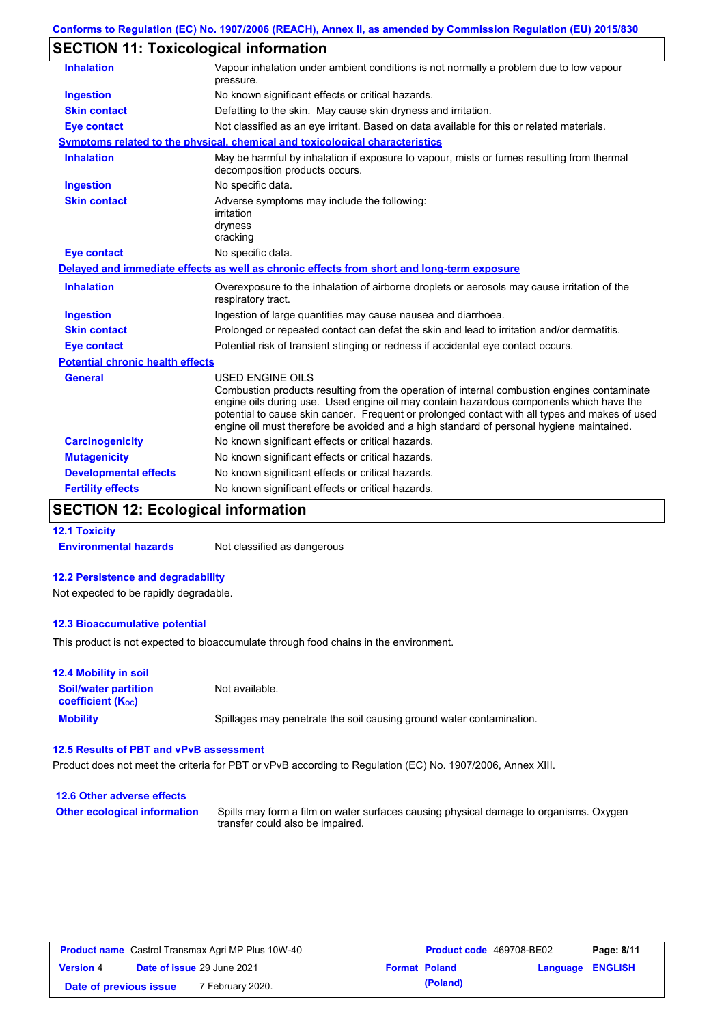# **SECTION 11: Toxicological information**

| <b>Inhalation</b>                       | Vapour inhalation under ambient conditions is not normally a problem due to low vapour<br>pressure.                                                                                                                                                                                                                                                                                                             |  |  |
|-----------------------------------------|-----------------------------------------------------------------------------------------------------------------------------------------------------------------------------------------------------------------------------------------------------------------------------------------------------------------------------------------------------------------------------------------------------------------|--|--|
| <b>Ingestion</b>                        | No known significant effects or critical hazards.                                                                                                                                                                                                                                                                                                                                                               |  |  |
| <b>Skin contact</b>                     | Defatting to the skin. May cause skin dryness and irritation.                                                                                                                                                                                                                                                                                                                                                   |  |  |
| <b>Eye contact</b>                      | Not classified as an eye irritant. Based on data available for this or related materials.                                                                                                                                                                                                                                                                                                                       |  |  |
|                                         | Symptoms related to the physical, chemical and toxicological characteristics                                                                                                                                                                                                                                                                                                                                    |  |  |
| <b>Inhalation</b>                       | May be harmful by inhalation if exposure to vapour, mists or fumes resulting from thermal<br>decomposition products occurs.                                                                                                                                                                                                                                                                                     |  |  |
| <b>Ingestion</b>                        | No specific data.                                                                                                                                                                                                                                                                                                                                                                                               |  |  |
| <b>Skin contact</b>                     | Adverse symptoms may include the following:<br>irritation<br>dryness<br>cracking                                                                                                                                                                                                                                                                                                                                |  |  |
| <b>Eye contact</b>                      | No specific data.                                                                                                                                                                                                                                                                                                                                                                                               |  |  |
|                                         | Delayed and immediate effects as well as chronic effects from short and long-term exposure                                                                                                                                                                                                                                                                                                                      |  |  |
| <b>Inhalation</b>                       | Overexposure to the inhalation of airborne droplets or aerosols may cause irritation of the<br>respiratory tract.                                                                                                                                                                                                                                                                                               |  |  |
| <b>Ingestion</b>                        | Ingestion of large quantities may cause nausea and diarrhoea.                                                                                                                                                                                                                                                                                                                                                   |  |  |
| <b>Skin contact</b>                     | Prolonged or repeated contact can defat the skin and lead to irritation and/or dermatitis.                                                                                                                                                                                                                                                                                                                      |  |  |
| <b>Eye contact</b>                      | Potential risk of transient stinging or redness if accidental eye contact occurs.                                                                                                                                                                                                                                                                                                                               |  |  |
| <b>Potential chronic health effects</b> |                                                                                                                                                                                                                                                                                                                                                                                                                 |  |  |
| <b>General</b>                          | <b>USED ENGINE OILS</b><br>Combustion products resulting from the operation of internal combustion engines contaminate<br>engine oils during use. Used engine oil may contain hazardous components which have the<br>potential to cause skin cancer. Frequent or prolonged contact with all types and makes of used<br>engine oil must therefore be avoided and a high standard of personal hygiene maintained. |  |  |
| <b>Carcinogenicity</b>                  | No known significant effects or critical hazards.                                                                                                                                                                                                                                                                                                                                                               |  |  |
| <b>Mutagenicity</b>                     | No known significant effects or critical hazards.                                                                                                                                                                                                                                                                                                                                                               |  |  |
| <b>Developmental effects</b>            | No known significant effects or critical hazards.                                                                                                                                                                                                                                                                                                                                                               |  |  |
| <b>Fertility effects</b>                | No known significant effects or critical hazards.                                                                                                                                                                                                                                                                                                                                                               |  |  |
|                                         |                                                                                                                                                                                                                                                                                                                                                                                                                 |  |  |

### **SECTION 12: Ecological information**

**12.1 Toxicity Environmental hazards** Not classified as dangerous

### **12.2 Persistence and degradability**

Not expected to be rapidly degradable.

#### **12.3 Bioaccumulative potential**

This product is not expected to bioaccumulate through food chains in the environment.

| <b>12.4 Mobility in soil</b>                                  |                                                                      |
|---------------------------------------------------------------|----------------------------------------------------------------------|
| <b>Soil/water partition</b><br>coefficient (K <sub>oc</sub> ) | Not available.                                                       |
| <b>Mobility</b>                                               | Spillages may penetrate the soil causing ground water contamination. |

### **12.5 Results of PBT and vPvB assessment**

Product does not meet the criteria for PBT or vPvB according to Regulation (EC) No. 1907/2006, Annex XIII.

| 12.6 Other adverse effects          |                                                                                                                           |
|-------------------------------------|---------------------------------------------------------------------------------------------------------------------------|
| <b>Other ecological information</b> | Spills may form a film on water surfaces causing physical damage to organisms. Oxygen<br>transfer could also be impaired. |

| <b>Product name</b> Castrol Transmax Agri MP Plus 10W-40 |  |                                   | <b>Product code</b> 469708-BE02 |                      | Page: 8/11              |  |
|----------------------------------------------------------|--|-----------------------------------|---------------------------------|----------------------|-------------------------|--|
| <b>Version 4</b>                                         |  | <b>Date of issue 29 June 2021</b> |                                 | <b>Format Poland</b> | <b>Language ENGLISH</b> |  |
| Date of previous issue                                   |  | 7 February 2020.                  |                                 | (Poland)             |                         |  |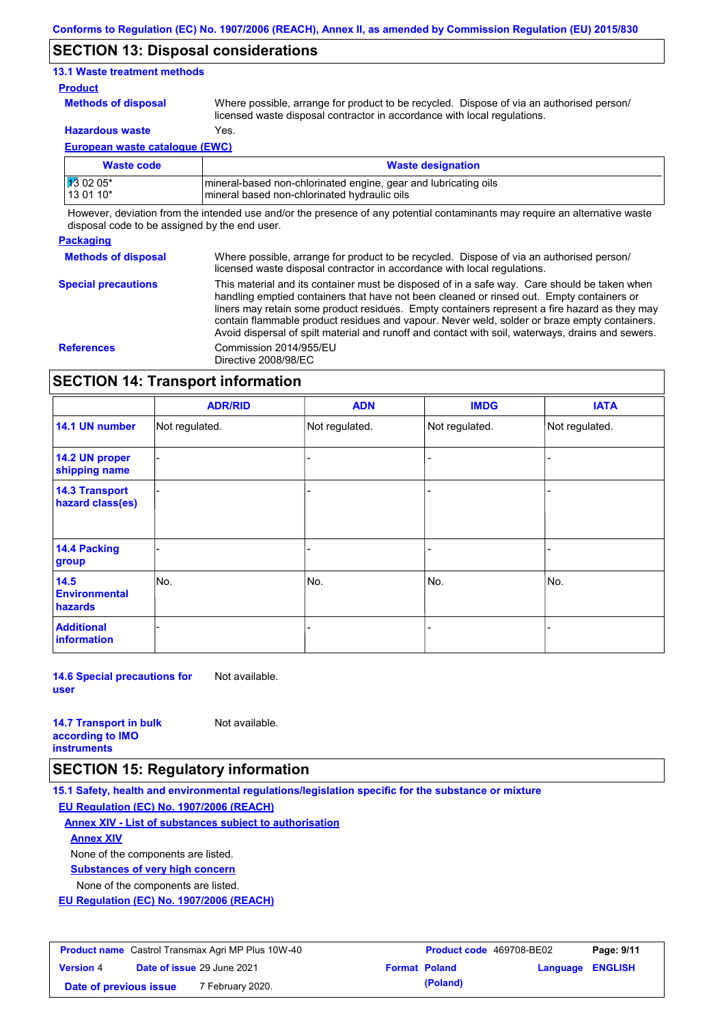### **SECTION 13: Disposal considerations**

### **13.1 Waste treatment methods**

### **Product**

**Methods of disposal**

Where possible, arrange for product to be recycled. Dispose of via an authorised person/ licensed waste disposal contractor in accordance with local regulations.

**Hazardous waste** Yes.

**European waste catalogue (EWC)**

| Waste code | <b>Waste designation</b>                                        |
|------------|-----------------------------------------------------------------|
| 13 02 05*  | mineral-based non-chlorinated engine, gear and lubricating oils |
| 13 01 10*  | mineral based non-chlorinated hydraulic oils                    |

However, deviation from the intended use and/or the presence of any potential contaminants may require an alternative waste disposal code to be assigned by the end user.

### **Packaging**

**Methods of disposal** Where possible, arrange for product to be recycled. Dispose of via an authorised person/ licensed waste disposal contractor in accordance with local regulations.

**Special precautions** This material and its container must be disposed of in a safe way. Care should be taken when handling emptied containers that have not been cleaned or rinsed out. Empty containers or liners may retain some product residues. Empty containers represent a fire hazard as they may contain flammable product residues and vapour. Never weld, solder or braze empty containers. Avoid dispersal of spilt material and runoff and contact with soil, waterways, drains and sewers. **References** Commission 2014/955/EU Directive 2008/98/EC

### **SECTION 14: Transport information**

|                                           | <b>ADR/RID</b> | <b>ADN</b>     | <b>IMDG</b>    | <b>IATA</b>    |
|-------------------------------------------|----------------|----------------|----------------|----------------|
| 14.1 UN number                            | Not regulated. | Not regulated. | Not regulated. | Not regulated. |
| 14.2 UN proper<br>shipping name           |                |                | -              |                |
| <b>14.3 Transport</b><br>hazard class(es) |                |                | -              |                |
| 14.4 Packing<br>group                     |                |                |                |                |
| 14.5<br><b>Environmental</b><br>hazards   | No.            | No.            | No.            | No.            |
| <b>Additional</b><br><b>information</b>   |                |                |                |                |

**14.6 Special precautions for user** Not available.

| <b>14.7 Transport in bulk</b> | Not available. |
|-------------------------------|----------------|
| according to <b>IMO</b>       |                |
| <b>instruments</b>            |                |

### **SECTION 15: Regulatory information**

**15.1 Safety, health and environmental regulations/legislation specific for the substance or mixture EU Regulation (EC) No. 1907/2006 (REACH)**

**Annex XIV - List of substances subject to authorisation**

**Annex XIV**

None of the components are listed.

**Substances of very high concern**

None of the components are listed.

**EU Regulation (EC) No. 1907/2006 (REACH)**

| <b>Product name</b> Castrol Transmax Agri MP Plus 10W-40 |                                   |                  | <b>Product code</b> 469708-BE02 |                      | Page: 9/11       |  |
|----------------------------------------------------------|-----------------------------------|------------------|---------------------------------|----------------------|------------------|--|
| <b>Version 4</b>                                         | <b>Date of issue 29 June 2021</b> |                  |                                 | <b>Format Poland</b> | Language ENGLISH |  |
| Date of previous issue                                   |                                   | 7 February 2020. |                                 | (Poland)             |                  |  |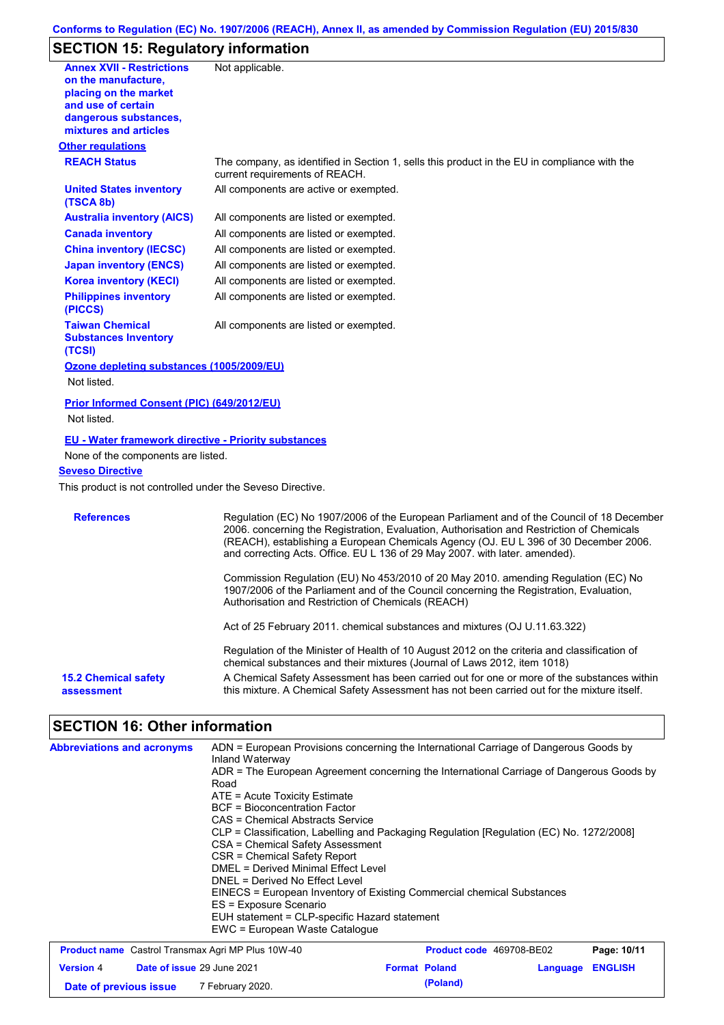# **SECTION 15: Regulatory information**

| <b>Annex XVII - Restrictions</b><br>on the manufacture.<br>placing on the market<br>and use of certain<br>dangerous substances,<br>mixtures and articles                                   | Not applicable.                                                                                                                                                                                                                                                                                                                                               |
|--------------------------------------------------------------------------------------------------------------------------------------------------------------------------------------------|---------------------------------------------------------------------------------------------------------------------------------------------------------------------------------------------------------------------------------------------------------------------------------------------------------------------------------------------------------------|
| <b>Other regulations</b>                                                                                                                                                                   |                                                                                                                                                                                                                                                                                                                                                               |
| <b>REACH Status</b>                                                                                                                                                                        | The company, as identified in Section 1, sells this product in the EU in compliance with the<br>current requirements of REACH.                                                                                                                                                                                                                                |
| <b>United States inventory</b><br>(TSCA 8b)                                                                                                                                                | All components are active or exempted.                                                                                                                                                                                                                                                                                                                        |
| <b>Australia inventory (AICS)</b>                                                                                                                                                          | All components are listed or exempted.                                                                                                                                                                                                                                                                                                                        |
| <b>Canada inventory</b>                                                                                                                                                                    | All components are listed or exempted.                                                                                                                                                                                                                                                                                                                        |
| <b>China inventory (IECSC)</b>                                                                                                                                                             | All components are listed or exempted.                                                                                                                                                                                                                                                                                                                        |
| <b>Japan inventory (ENCS)</b>                                                                                                                                                              | All components are listed or exempted.                                                                                                                                                                                                                                                                                                                        |
| <b>Korea inventory (KECI)</b>                                                                                                                                                              | All components are listed or exempted.                                                                                                                                                                                                                                                                                                                        |
| <b>Philippines inventory</b><br>(PICCS)                                                                                                                                                    | All components are listed or exempted.                                                                                                                                                                                                                                                                                                                        |
| <b>Taiwan Chemical</b><br><b>Substances Inventory</b><br>(TCSI)                                                                                                                            | All components are listed or exempted.                                                                                                                                                                                                                                                                                                                        |
| Ozone depleting substances (1005/2009/EU)                                                                                                                                                  |                                                                                                                                                                                                                                                                                                                                                               |
| Not listed.                                                                                                                                                                                |                                                                                                                                                                                                                                                                                                                                                               |
| Prior Informed Consent (PIC) (649/2012/EU)<br>Not listed.                                                                                                                                  |                                                                                                                                                                                                                                                                                                                                                               |
| <b>EU - Water framework directive - Priority substances</b><br>None of the components are listed.<br><b>Seveso Directive</b><br>This product is not controlled under the Seveso Directive. |                                                                                                                                                                                                                                                                                                                                                               |
| <b>References</b>                                                                                                                                                                          | Regulation (EC) No 1907/2006 of the European Parliament and of the Council of 18 December<br>2006. concerning the Registration, Evaluation, Authorisation and Restriction of Chemicals<br>(REACH), establishing a European Chemicals Agency (OJ. EU L 396 of 30 December 2006.<br>and correcting Acts. Office. EU L 136 of 29 May 2007. with later. amended). |
|                                                                                                                                                                                            | Commission Regulation (EU) No 453/2010 of 20 May 2010. amending Regulation (EC) No<br>1907/2006 of the Parliament and of the Council concerning the Registration, Evaluation,<br>Authorisation and Restriction of Chemicals (REACH)                                                                                                                           |
|                                                                                                                                                                                            | Act of 25 February 2011. chemical substances and mixtures (OJ U.11.63.322)                                                                                                                                                                                                                                                                                    |
|                                                                                                                                                                                            | Regulation of the Minister of Health of 10 August 2012 on the criteria and classification of<br>chemical substances and their mixtures (Journal of Laws 2012, item 1018)                                                                                                                                                                                      |
| <b>15.2 Chemical safety</b><br>assessment                                                                                                                                                  | A Chemical Safety Assessment has been carried out for one or more of the substances within<br>this mixture. A Chemical Safety Assessment has not been carried out for the mixture itself.                                                                                                                                                                     |

# **SECTION 16: Other information**

| <b>Abbreviations and acronyms</b>                        | ADN = European Provisions concerning the International Carriage of Dangerous Goods by<br>Inland Waterway<br>ADR = The European Agreement concerning the International Carriage of Dangerous Goods by<br>Road<br>$ATE = Acute Toxicity Estimate$<br><b>BCF</b> = Bioconcentration Factor<br>CAS = Chemical Abstracts Service<br>CLP = Classification, Labelling and Packaging Regulation [Regulation (EC) No. 1272/2008]<br>CSA = Chemical Safety Assessment<br>CSR = Chemical Safety Report<br>DMEL = Derived Minimal Effect Level<br>DNEL = Derived No Effect Level<br>EINECS = European Inventory of Existing Commercial chemical Substances<br>ES = Exposure Scenario<br>EUH statement = CLP-specific Hazard statement |  |
|----------------------------------------------------------|---------------------------------------------------------------------------------------------------------------------------------------------------------------------------------------------------------------------------------------------------------------------------------------------------------------------------------------------------------------------------------------------------------------------------------------------------------------------------------------------------------------------------------------------------------------------------------------------------------------------------------------------------------------------------------------------------------------------------|--|
| <b>Broduct name</b> Castrol Transmay Agri MD Plus 10M/40 | EWC = European Waste Catalogue                                                                                                                                                                                                                                                                                                                                                                                                                                                                                                                                                                                                                                                                                            |  |

| <b>Product name</b> Castrol Transmax Agri MP Plus 10W-40 |                            |                  | <b>Product code</b> 469708-BE02 | Page: 10/11          |                         |  |
|----------------------------------------------------------|----------------------------|------------------|---------------------------------|----------------------|-------------------------|--|
| <b>Version 4</b>                                         | Date of issue 29 June 2021 |                  |                                 | <b>Format Poland</b> | <b>Language ENGLISH</b> |  |
| Date of previous issue                                   |                            | 7 February 2020. |                                 | (Poland)             |                         |  |